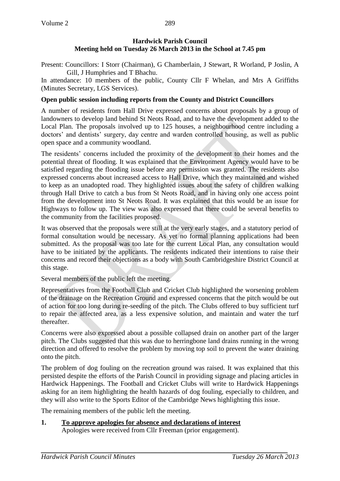## **Hardwick Parish Council Meeting held on Tuesday 26 March 2013 in the School at 7.45 pm**

Present: Councillors: I Storr (Chairman), G Chamberlain, J Stewart, R Worland, P Joslin, A Gill, J Humphries and T Bhachu.

In attendance: 10 members of the public, County Cllr F Whelan, and Mrs A Griffiths (Minutes Secretary, LGS Services).

# **Open public session including reports from the County and District Councillors**

A number of residents from Hall Drive expressed concerns about proposals by a group of landowners to develop land behind St Neots Road, and to have the development added to the Local Plan. The proposals involved up to 125 houses, a neighbourhood centre including a doctors' and dentists' surgery, day centre and warden controlled housing, as well as public open space and a community woodland.

The residents' concerns included the proximity of the development to their homes and the potential threat of flooding. It was explained that the Environment Agency would have to be satisfied regarding the flooding issue before any permission was granted. The residents also expressed concerns about increased access to Hall Drive, which they maintained and wished to keep as an unadopted road. They highlighted issues about the safety of children walking through Hall Drive to catch a bus from St Neots Road, and in having only one access point from the development into St Neots Road. It was explained that this would be an issue for Highways to follow up. The view was also expressed that there could be several benefits to the community from the facilities proposed.

It was observed that the proposals were still at the very early stages, and a statutory period of formal consultation would be necessary. As yet no formal planning applications had been submitted. As the proposal was too late for the current Local Plan, any consultation would have to be initiated by the applicants. The residents indicated their intentions to raise their concerns and record their objections as a body with South Cambridgeshire District Council at this stage.

Several members of the public left the meeting.

Representatives from the Football Club and Cricket Club highlighted the worsening problem of the drainage on the Recreation Ground and expressed concerns that the pitch would be out of action for too long during re-seeding of the pitch. The Clubs offered to buy sufficient turf to repair the affected area, as a less expensive solution, and maintain and water the turf thereafter.

Concerns were also expressed about a possible collapsed drain on another part of the larger pitch. The Clubs suggested that this was due to herringbone land drains running in the wrong direction and offered to resolve the problem by moving top soil to prevent the water draining onto the pitch.

The problem of dog fouling on the recreation ground was raised. It was explained that this persisted despite the efforts of the Parish Council in providing signage and placing articles in Hardwick Happenings. The Football and Cricket Clubs will write to Hardwick Happenings asking for an item highlighting the health hazards of dog fouling, especially to children, and they will also write to the Sports Editor of the Cambridge News highlighting this issue.

The remaining members of the public left the meeting.

**1. To approve apologies for absence and declarations of interest** Apologies were received from Cllr Freeman (prior engagement).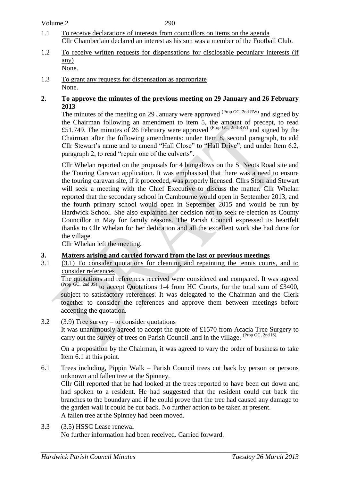290

- 1.1 To receive declarations of interests from councillors on items on the agenda Cllr Chamberlain declared an interest as his son was a member of the Football Club.
- 1.2 To receive written requests for dispensations for disclosable pecuniary interests (if any) None.
- 1.3 To grant any requests for dispensation as appropriate None.

#### **2. To approve the minutes of the previous meeting on 29 January and 26 February 2013**

The minutes of the meeting on 29 January were approved  $^{(Prop \, GC, 2nd \, RW)}$  and signed by the Chairman following an amendment to item 5, the amount of precept, to read £51,749. The minutes of 26 February were approved  $^{(Prop \text{ GC, 2nd RW})}$  and signed by the Chairman after the following amendments: under Item 8, second paragraph, to add Cllr Stewart's name and to amend "Hall Close" to "Hall Drive"; and under Item 6.2, paragraph 2, to read "repair one of the culverts".

Cllr Whelan reported on the proposals for 4 bungalows on the St Neots Road site and the Touring Caravan application. It was emphasised that there was a need to ensure the touring caravan site, if it proceeded, was properly licensed. Cllrs Storr and Stewart will seek a meeting with the Chief Executive to discuss the matter. Cllr Whelan reported that the secondary school in Cambourne would open in September 2013, and the fourth primary school would open in September 2015 and would be run by Hardwick School. She also explained her decision not to seek re-election as County Councillor in May for family reasons. The Parish Council expressed its heartfelt thanks to Cllr Whelan for her dedication and all the excellent work she had done for the village.

Cllr Whelan left the meeting.

### **3. Matters arising and carried forward from the last or previous meetings**

3.1 (3.1) To consider quotations for cleaning and repainting the tennis courts, and to consider references

The quotations and references received were considered and compared. It was agreed (Prop GC, 2nd JS) to accept Quotations 1-4 from HC Courts, for the total sum of £3400, subject to satisfactory references. It was delegated to the Chairman and the Clerk together to consider the references and approve them between meetings before accepting the quotation.

3.2 (3.9) Tree survey – to consider quotations

It was unanimously agreed to accept the quote of £1570 from Acacia Tree Surgery to carry out the survey of trees on Parish Council land in the village. (Prop GC, 2nd IS)

On a proposition by the Chairman, it was agreed to vary the order of business to take Item 6.1 at this point.

### 6.1 Trees including, Pippin Walk – Parish Council trees cut back by person or persons unknown and fallen tree at the Spinney.

Cllr Gill reported that he had looked at the trees reported to have been cut down and had spoken to a resident. He had suggested that the resident could cut back the branches to the boundary and if he could prove that the tree had caused any damage to the garden wall it could be cut back. No further action to be taken at present. A fallen tree at the Spinney had been moved.

3.3 (3.5) HSSC Lease renewal No further information had been received. Carried forward.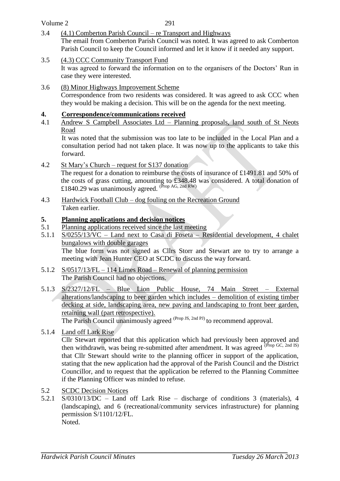#### Volume 2

- 3.4 (4.1) Comberton Parish Council re Transport and Highways The email from Comberton Parish Council was noted. It was agreed to ask Comberton Parish Council to keep the Council informed and let it know if it needed any support.
- 3.5 (4.3) CCC Community Transport Fund It was agreed to forward the information on to the organisers of the Doctors' Run in case they were interested.
- 3.6 (8) Minor Highways Improvement Scheme Correspondence from two residents was considered. It was agreed to ask CCC when they would be making a decision. This will be on the agenda for the next meeting.

### **4. Correspondence/communications received**

4.1 Andrew S Campbell Associates Ltd – Planning proposals, land south of St Neots Road

It was noted that the submission was too late to be included in the Local Plan and a consultation period had not taken place. It was now up to the applicants to take this forward.

- 4.2 St Mary's Church request for S137 donation The request for a donation to reimburse the costs of insurance of £1491.81 and 50% of the costs of grass cutting, amounting to £348.48 was considered. A total donation of £1840.29 was unanimously agreed.  $(\text{Prop AG}, \text{2nd RW})$
- 4.3 Hardwick Football Club dog fouling on the Recreation Ground Taken earlier.

### **5. Planning applications and decision notices**

- 5.1 Planning applications received since the last meeting
- 5.1.1 S/0255/13/VC Land next to Casa di Foseta Residential development, 4 chalet bungalows with double garages The blue form was not signed as Cllrs Storr and Stewart are to try to arrange a meeting with Jean Hunter CEO at SCDC to discuss the way forward.
- 5.1.2 S/0517/13/FL 114 Limes Road Renewal of planning permission The Parish Council had no objections.
- 5.1.3 S/2327/12/FL Blue Lion Public House, 74 Main Street External alterations/landscaping to beer garden which includes – demolition of existing timber decking at side, landscaping area, new paving and landscaping to front beer garden, retaining wall (part retrospective). The Parish Council unanimously agreed <sup>(Prop JS, 2nd PJ)</sup> to recommend approval.
- 5.1.4 Land off Lark Rise

Cllr Stewart reported that this application which had previously been approved and then withdrawn, was being re-submitted after amendment. It was agreed <sup>(Prop GC, 2nd IS)</sup> that Cllr Stewart should write to the planning officer in support of the application, stating that the new application had the approval of the Parish Council and the District Councillor, and to request that the application be referred to the Planning Committee if the Planning Officer was minded to refuse.

- 5.2 SCDC Decision Notices
- 5.2.1 S/0310/13/DC Land off Lark Rise discharge of conditions 3 (materials), 4 (landscaping), and 6 (recreational/community services infrastructure) for planning permission S/1101/12/FL. Noted.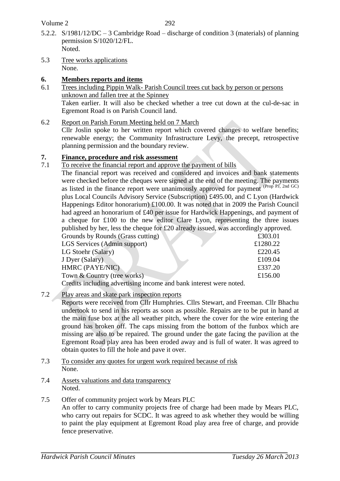Volume 2

- 5.2.2. S/1981/12/DC 3 Cambridge Road discharge of condition 3 (materials) of planning permission S/1020/12/FL. Noted.
- 5.3 Tree works applications None.
- **6. Members reports and items**
- 6.1 Trees including Pippin Walk- Parish Council trees cut back by person or persons unknown and fallen tree at the Spinney Taken earlier. It will also be checked whether a tree cut down at the cul-de-sac in Egremont Road is on Parish Council land.
- 6.2 Report on Parish Forum Meeting held on 7 March

Cllr Joslin spoke to her written report which covered changes to welfare benefits; renewable energy; the Community Infrastructure Levy, the precept, retrospective planning permission and the boundary review.

### **7. Finance, procedure and risk assessment**

7.1 To receive the financial report and approve the payment of bills

The financial report was received and considered and invoices and bank statements were checked before the cheques were signed at the end of the meeting. The payments as listed in the finance report were unanimously approved for payment  $(\text{Prop Pl}, 2nd \text{ GC})$ plus Local Councils Advisory Service (Subscription) £495.00, and C Lyon (Hardwick Happenings Editor honorarium) £100.00. It was noted that in 2009 the Parish Council had agreed an honorarium of £40 per issue for Hardwick Happenings, and payment of a cheque for £100 to the new editor Clare Lyon, representing the three issues published by her, less the cheque for  $\pounds 20$  already issued, was accordingly approved.

| $P$ we have $P$ and $P$ and $P$ and $P$ and $P$ and $P$ and $P$ and $P$ and $P$ and $P$ and $P$ and $P$ and $P$ and $P$ and $P$ and $P$ and $P$ and $P$ and $P$ and $P$ and $P$ and $P$ and $P$ and $P$ and $P$ and $P$ and |          |  |
|-----------------------------------------------------------------------------------------------------------------------------------------------------------------------------------------------------------------------------|----------|--|
| Grounds by Rounds (Grass cutting)                                                                                                                                                                                           | £303.01  |  |
| LGS Services (Admin support)                                                                                                                                                                                                | £1280.22 |  |
| LG Stoehr (Salary)                                                                                                                                                                                                          | £220.45  |  |
| J Dyer (Salary)                                                                                                                                                                                                             | £109.04  |  |
| <b>HMRC (PAYE/NIC)</b>                                                                                                                                                                                                      | £337.20  |  |
| Town & Country (tree works)                                                                                                                                                                                                 | £156.00  |  |
| Credite including educations income and bonk interest were noted                                                                                                                                                            |          |  |

Credits including advertising income and bank interest were noted.

7.2 Play areas and skate park inspection reports

Reports were received from Cllr Humphries. Cllrs Stewart, and Freeman. Cllr Bhachu undertook to send in his reports as soon as possible. Repairs are to be put in hand at the main fuse box at the all weather pitch, where the cover for the wire entering the ground has broken off. The caps missing from the bottom of the funbox which are missing are also to be repaired. The ground under the gate facing the pavilion at the Egremont Road play area has been eroded away and is full of water. It was agreed to obtain quotes to fill the hole and pave it over.

- 7.3 To consider any quotes for urgent work required because of risk None.
- 7.4 Assets valuations and data transparency Noted.
- 7.5 Offer of community project work by Mears PLC

An offer to carry community projects free of charge had been made by Mears PLC, who carry out repairs for SCDC. It was agreed to ask whether they would be willing to paint the play equipment at Egremont Road play area free of charge, and provide fence preservative.